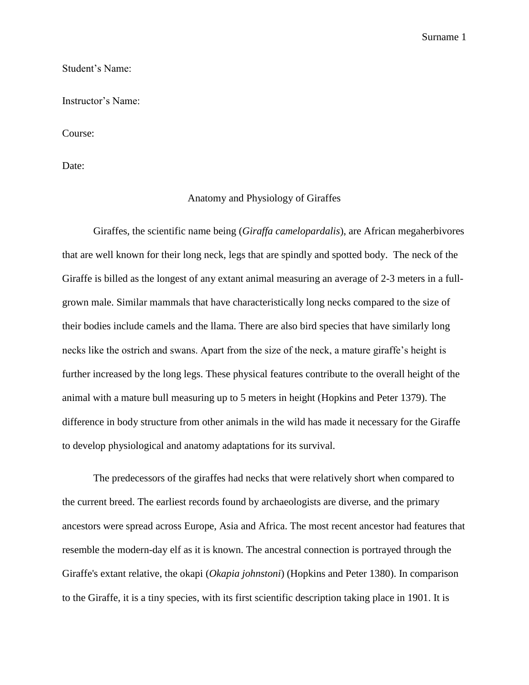Surname 1

### Student's Name:

Instructor's Name:

Course:

Date:

### Anatomy and Physiology of Giraffes

Giraffes, the scientific name being (*Giraffa camelopardalis*), are African megaherbivores that are well known for their long neck, legs that are spindly and spotted body. The neck of the Giraffe is billed as the longest of any extant animal measuring an average of 2-3 meters in a fullgrown male. Similar mammals that have characteristically long necks compared to the size of their bodies include camels and the llama. There are also bird species that have similarly long necks like the ostrich and swans. Apart from the size of the neck, a mature giraffe's height is further increased by the long legs. These physical features contribute to the overall height of the animal with a mature bull measuring up to 5 meters in height (Hopkins and Peter 1379). The difference in body structure from other animals in the wild has made it necessary for the Giraffe to develop physiological and anatomy adaptations for its survival.

The predecessors of the giraffes had necks that were relatively short when compared to the current breed. The earliest records found by archaeologists are diverse, and the primary ancestors were spread across Europe, Asia and Africa. The most recent ancestor had features that resemble the modern-day elf as it is known. The ancestral connection is portrayed through the Giraffe's extant relative, the okapi (*Okapia johnstoni*) (Hopkins and Peter 1380). In comparison to the Giraffe, it is a tiny species, with its first scientific description taking place in 1901. It is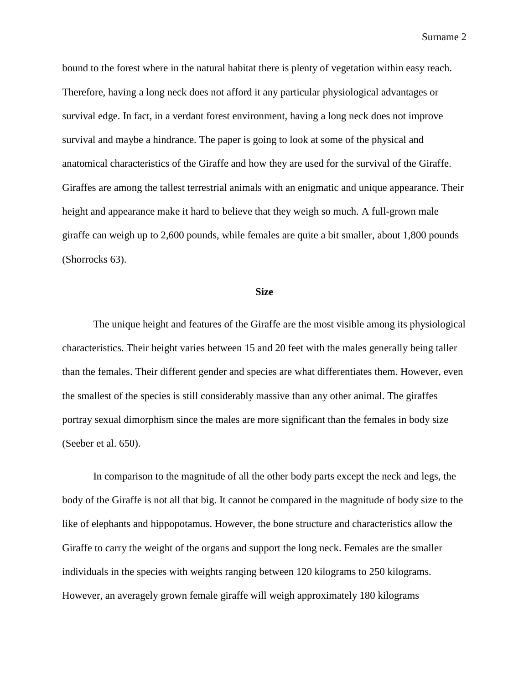Surname 2

bound to the forest where in the natural habitat there is plenty of vegetation within easy reach. Therefore, having a long neck does not afford it any particular physiological advantages or survival edge. In fact, in a verdant forest environment, having a long neck does not improve survival and maybe a hindrance. The paper is going to look at some of the physical and anatomical characteristics of the Giraffe and how they are used for the survival of the Giraffe. Giraffes are among the tallest terrestrial animals with an enigmatic and unique appearance. Their height and appearance make it hard to believe that they weigh so much. A full-grown male giraffe can weigh up to 2,600 pounds, while females are quite a bit smaller, about 1,800 pounds (Shorrocks 63).

#### **Size**

The unique height and features of the Giraffe are the most visible among its physiological characteristics. Their height varies between 15 and 20 feet with the males generally being taller than the females. Their different gender and species are what differentiates them. However, even the smallest of the species is still considerably massive than any other animal. The giraffes portray sexual dimorphism since the males are more significant than the females in body size (Seeber et al. 650).

In comparison to the magnitude of all the other body parts except the neck and legs, the body of the Giraffe is not all that big. It cannot be compared in the magnitude of body size to the like of elephants and hippopotamus. However, the bone structure and characteristics allow the Giraffe to carry the weight of the organs and support the long neck. Females are the smaller individuals in the species with weights ranging between 120 kilograms to 250 kilograms. However, an averagely grown female giraffe will weigh approximately 180 kilograms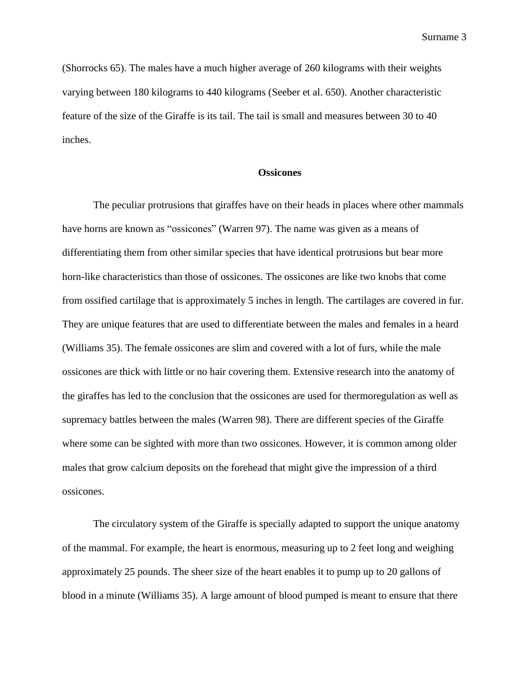Surname 3

(Shorrocks 65). The males have a much higher average of 260 kilograms with their weights varying between 180 kilograms to 440 kilograms (Seeber et al. 650). Another characteristic feature of the size of the Giraffe is its tail. The tail is small and measures between 30 to 40 inches.

# **Ossicones**

The peculiar protrusions that giraffes have on their heads in places where other mammals have horns are known as "ossicones" (Warren 97). The name was given as a means of differentiating them from other similar species that have identical protrusions but bear more horn-like characteristics than those of ossicones. The ossicones are like two knobs that come from ossified cartilage that is approximately 5 inches in length. The cartilages are covered in fur. They are unique features that are used to differentiate between the males and females in a heard (Williams 35). The female ossicones are slim and covered with a lot of furs, while the male ossicones are thick with little or no hair covering them. Extensive research into the anatomy of the giraffes has led to the conclusion that the ossicones are used for thermoregulation as well as supremacy battles between the males (Warren 98). There are different species of the Giraffe where some can be sighted with more than two ossicones. However, it is common among older males that grow calcium deposits on the forehead that might give the impression of a third ossicones.

The circulatory system of the Giraffe is specially adapted to support the unique anatomy of the mammal. For example, the heart is enormous, measuring up to 2 feet long and weighing approximately 25 pounds. The sheer size of the heart enables it to pump up to 20 gallons of blood in a minute (Williams 35). A large amount of blood pumped is meant to ensure that there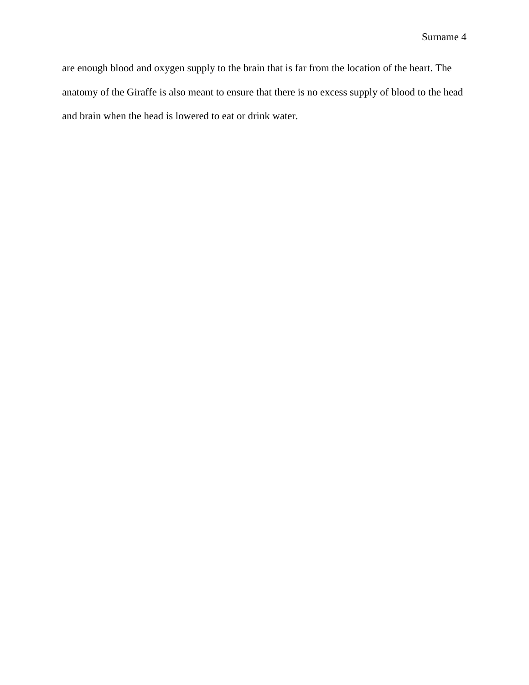are enough blood and oxygen supply to the brain that is far from the location of the heart. The anatomy of the Giraffe is also meant to ensure that there is no excess supply of blood to the head and brain when the head is lowered to eat or drink water.